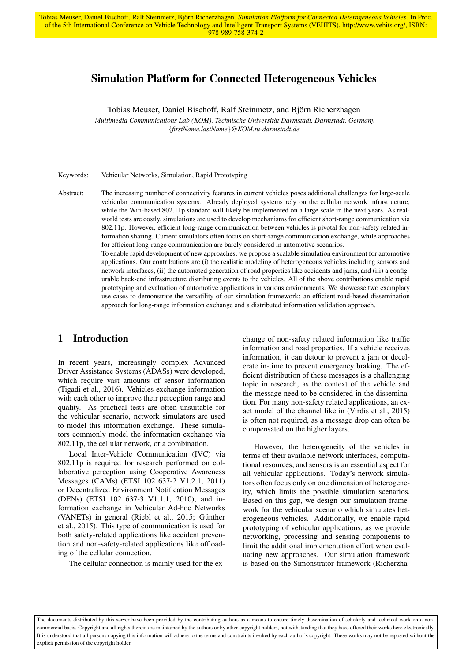# Simulation Platform for Connected Heterogeneous Vehicles

Tobias Meuser, Daniel Bischoff, Ralf Steinmetz, and Björn Richerzhagen

*Multimedia Communications Lab (KOM), Technische Universitat Darmstadt, Darmstadt, Germany ¨* {*firstName.lastName*}*@KOM.tu-darmstadt.de*

Keywords: Vehicular Networks, Simulation, Rapid Prototyping

Abstract: The increasing number of connectivity features in current vehicles poses additional challenges for large-scale vehicular communication systems. Already deployed systems rely on the cellular network infrastructure, while the Wifi-based 802.11p standard will likely be implemented on a large scale in the next years. As realworld tests are costly, simulations are used to develop mechanisms for efficient short-range communication via 802.11p. However, efficient long-range communication between vehicles is pivotal for non-safety related information sharing. Current simulators often focus on short-range communication exchange, while approaches for efficient long-range communication are barely considered in automotive scenarios.

> To enable rapid development of new approaches, we propose a scalable simulation environment for automotive applications. Our contributions are (i) the realistic modeling of heterogeneous vehicles including sensors and network interfaces, (ii) the automated generation of road properties like accidents and jams, and (iii) a configurable back-end infrastructure distributing events to the vehicles. All of the above contributions enable rapid prototyping and evaluation of automotive applications in various environments. We showcase two exemplary use cases to demonstrate the versatility of our simulation framework: an efficient road-based dissemination approach for long-range information exchange and a distributed information validation approach.

## 1 Introduction

In recent years, increasingly complex Advanced Driver Assistance Systems (ADASs) were developed, which require vast amounts of sensor information (Tigadi et al., 2016). Vehicles exchange information with each other to improve their perception range and quality. As practical tests are often unsuitable for the vehicular scenario, network simulators are used to model this information exchange. These simulators commonly model the information exchange via 802.11p, the cellular network, or a combination.

Local Inter-Vehicle Communication (IVC) via 802.11p is required for research performed on collaborative perception using Cooperative Awareness Messages (CAMs) (ETSI 102 637-2 V1.2.1, 2011) or Decentralized Environment Notification Messages (DENs) (ETSI 102 637-3 V1.1.1, 2010), and information exchange in Vehicular Ad-hoc Networks (VANETs) in general (Riebl et al., 2015; Günther et al., 2015). This type of communication is used for both safety-related applications like accident prevention and non-safety-related applications like offloading of the cellular connection.

The cellular connection is mainly used for the ex-

change of non-safety related information like traffic information and road properties. If a vehicle receives information, it can detour to prevent a jam or decelerate in-time to prevent emergency braking. The efficient distribution of these messages is a challenging topic in research, as the context of the vehicle and the message need to be considered in the dissemination. For many non-safety related applications, an exact model of the channel like in (Virdis et al., 2015) is often not required, as a message drop can often be compensated on the higher layers.

However, the heterogeneity of the vehicles in terms of their available network interfaces, computational resources, and sensors is an essential aspect for all vehicular applications. Today's network simulators often focus only on one dimension of heterogeneity, which limits the possible simulation scenarios. Based on this gap, we design our simulation framework for the vehicular scenario which simulates heterogeneous vehicles. Additionally, we enable rapid prototyping of vehicular applications, as we provide networking, processing and sensing components to limit the additional implementation effort when evaluating new approaches. Our simulation framework is based on the Simonstrator framework (Richerzha-

The documents distributed by this server have been provided by the contributing authors as a means to ensure timely dissemination of scholarly and technical work on a noncommercial basis. Copyright and all rights therein are maintained by the authors or by other copyright holders, not withstanding that they have offered their works here electronically. It is understood that all persons copying this information will adhere to the terms and constraints invoked by each author's copyright. These works may not be reposted without the explicit permission of the copyright holder.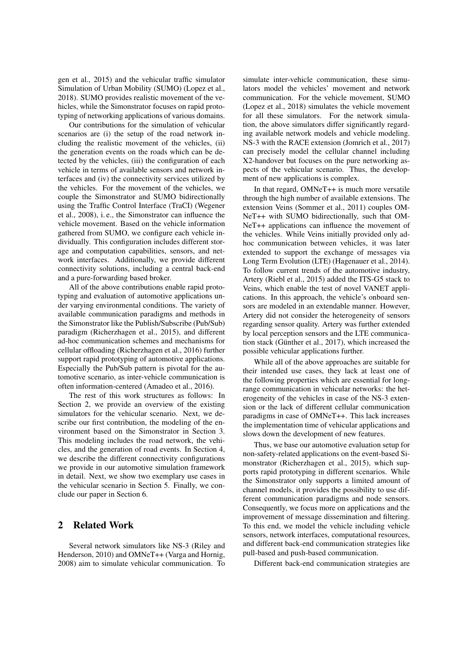gen et al., 2015) and the vehicular traffic simulator Simulation of Urban Mobility (SUMO) (Lopez et al., 2018). SUMO provides realistic movement of the vehicles, while the Simonstrator focuses on rapid prototyping of networking applications of various domains.

Our contributions for the simulation of vehicular scenarios are (i) the setup of the road network including the realistic movement of the vehicles, (ii) the generation events on the roads which can be detected by the vehicles, (iii) the configuration of each vehicle in terms of available sensors and network interfaces and (iv) the connectivity services utilized by the vehicles. For the movement of the vehicles, we couple the Simonstrator and SUMO bidirectionally using the Traffic Control Interface (TraCI) (Wegener et al., 2008), i. e., the Simonstrator can influence the vehicle movement. Based on the vehicle information gathered from SUMO, we configure each vehicle individually. This configuration includes different storage and computation capabilities, sensors, and network interfaces. Additionally, we provide different connectivity solutions, including a central back-end and a pure-forwarding based broker.

All of the above contributions enable rapid prototyping and evaluation of automotive applications under varying environmental conditions. The variety of available communication paradigms and methods in the Simonstrator like the Publish/Subscribe (Pub/Sub) paradigm (Richerzhagen et al., 2015), and different ad-hoc communication schemes and mechanisms for cellular offloading (Richerzhagen et al., 2016) further support rapid prototyping of automotive applications. Especially the Pub/Sub pattern is pivotal for the automotive scenario, as inter-vehicle communication is often information-centered (Amadeo et al., 2016).

The rest of this work structures as follows: In Section 2, we provide an overview of the existing simulators for the vehicular scenario. Next, we describe our first contribution, the modeling of the environment based on the Simonstrator in Section 3. This modeling includes the road network, the vehicles, and the generation of road events. In Section 4, we describe the different connectivity configurations we provide in our automotive simulation framework in detail. Next, we show two exemplary use cases in the vehicular scenario in Section 5. Finally, we conclude our paper in Section 6.

## 2 Related Work

Several network simulators like NS-3 (Riley and Henderson, 2010) and OMNeT++ (Varga and Hornig, 2008) aim to simulate vehicular communication. To

simulate inter-vehicle communication, these simulators model the vehicles' movement and network communication. For the vehicle movement, SUMO (Lopez et al., 2018) simulates the vehicle movement for all these simulators. For the network simulation, the above simulators differ significantly regarding available network models and vehicle modeling. NS-3 with the RACE extension (Jomrich et al., 2017) can precisely model the cellular channel including X2-handover but focuses on the pure networking aspects of the vehicular scenario. Thus, the development of new applications is complex.

In that regard, OMNeT++ is much more versatile through the high number of available extensions. The extension Veins (Sommer et al., 2011) couples OM-NeT++ with SUMO bidirectionally, such that OM-NeT++ applications can influence the movement of the vehicles. While Veins initially provided only adhoc communication between vehicles, it was later extended to support the exchange of messages via Long Term Evolution (LTE) (Hagenauer et al., 2014). To follow current trends of the automotive industry, Artery (Riebl et al., 2015) added the ITS-G5 stack to Veins, which enable the test of novel VANET applications. In this approach, the vehicle's onboard sensors are modeled in an extendable manner. However, Artery did not consider the heterogeneity of sensors regarding sensor quality. Artery was further extended by local perception sensors and the LTE communication stack (Günther et al.,  $2017$ ), which increased the possible vehicular applications further.

While all of the above approaches are suitable for their intended use cases, they lack at least one of the following properties which are essential for longrange communication in vehicular networks: the heterogeneity of the vehicles in case of the NS-3 extension or the lack of different cellular communication paradigms in case of OMNeT++. This lack increases the implementation time of vehicular applications and slows down the development of new features.

Thus, we base our automotive evaluation setup for non-safety-related applications on the event-based Simonstrator (Richerzhagen et al., 2015), which supports rapid prototyping in different scenarios. While the Simonstrator only supports a limited amount of channel models, it provides the possibility to use different communication paradigms and node sensors. Consequently, we focus more on applications and the improvement of message dissemination and filtering. To this end, we model the vehicle including vehicle sensors, network interfaces, computational resources, and different back-end communication strategies like pull-based and push-based communication.

Different back-end communication strategies are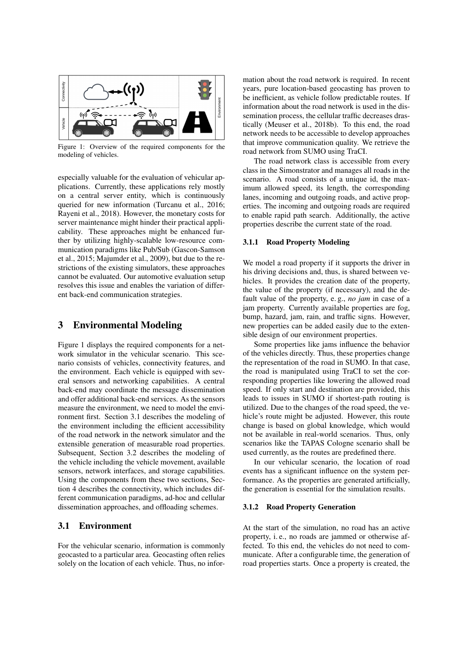

Figure 1: Overview of the required components for the modeling of vehicles.

especially valuable for the evaluation of vehicular applications. Currently, these applications rely mostly on a central server entity, which is continuously queried for new information (Turcanu et al., 2016; Rayeni et al., 2018). However, the monetary costs for server maintenance might hinder their practical applicability. These approaches might be enhanced further by utilizing highly-scalable low-resource communication paradigms like Pub/Sub (Gascon-Samson et al., 2015; Majumder et al., 2009), but due to the restrictions of the existing simulators, these approaches cannot be evaluated. Our automotive evaluation setup resolves this issue and enables the variation of different back-end communication strategies.

### 3 Environmental Modeling

Figure 1 displays the required components for a network simulator in the vehicular scenario. This scenario consists of vehicles, connectivity features, and the environment. Each vehicle is equipped with several sensors and networking capabilities. A central back-end may coordinate the message dissemination and offer additional back-end services. As the sensors measure the environment, we need to model the environment first. Section 3.1 describes the modeling of the environment including the efficient accessibility of the road network in the network simulator and the extensible generation of measurable road properties. Subsequent, Section 3.2 describes the modeling of the vehicle including the vehicle movement, available sensors, network interfaces, and storage capabilities. Using the components from these two sections, Section 4 describes the connectivity, which includes different communication paradigms, ad-hoc and cellular dissemination approaches, and offloading schemes.

### 3.1 Environment

For the vehicular scenario, information is commonly geocasted to a particular area. Geocasting often relies solely on the location of each vehicle. Thus, no infor-

mation about the road network is required. In recent years, pure location-based geocasting has proven to be inefficient, as vehicle follow predictable routes. If information about the road network is used in the dissemination process, the cellular traffic decreases drastically (Meuser et al., 2018b). To this end, the road network needs to be accessible to develop approaches that improve communication quality. We retrieve the road network from SUMO using TraCI.

The road network class is accessible from every class in the Simonstrator and manages all roads in the scenario. A road consists of a unique id, the maximum allowed speed, its length, the corresponding lanes, incoming and outgoing roads, and active properties. The incoming and outgoing roads are required to enable rapid path search. Additionally, the active properties describe the current state of the road.

#### 3.1.1 Road Property Modeling

We model a road property if it supports the driver in his driving decisions and, thus, is shared between vehicles. It provides the creation date of the property, the value of the property (if necessary), and the default value of the property, e. g., *no jam* in case of a jam property. Currently available properties are fog, bump, hazard, jam, rain, and traffic signs. However, new properties can be added easily due to the extensible design of our environment properties.

Some properties like jams influence the behavior of the vehicles directly. Thus, these properties change the representation of the road in SUMO. In that case, the road is manipulated using TraCI to set the corresponding properties like lowering the allowed road speed. If only start and destination are provided, this leads to issues in SUMO if shortest-path routing is utilized. Due to the changes of the road speed, the vehicle's route might be adjusted. However, this route change is based on global knowledge, which would not be available in real-world scenarios. Thus, only scenarios like the TAPAS Cologne scenario shall be used currently, as the routes are predefined there.

In our vehicular scenario, the location of road events has a significant influence on the system performance. As the properties are generated artificially, the generation is essential for the simulation results.

#### 3.1.2 Road Property Generation

At the start of the simulation, no road has an active property, i. e., no roads are jammed or otherwise affected. To this end, the vehicles do not need to communicate. After a configurable time, the generation of road properties starts. Once a property is created, the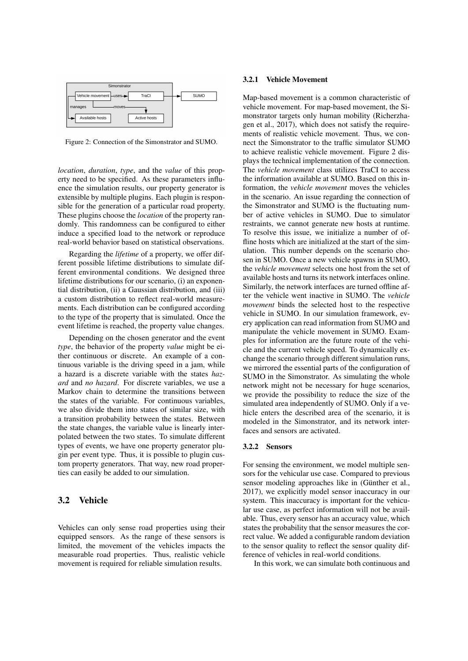

Figure 2: Connection of the Simonstrator and SUMO.

*location*, *duration*, *type*, and the *value* of this property need to be specified. As these parameters influence the simulation results, our property generator is extensible by multiple plugins. Each plugin is responsible for the generation of a particular road property. These plugins choose the *location* of the property randomly. This randomness can be configured to either induce a specified load to the network or reproduce real-world behavior based on statistical observations.

Regarding the *lifetime* of a property, we offer different possible lifetime distributions to simulate different environmental conditions. We designed three lifetime distributions for our scenario, (i) an exponential distribution, (ii) a Gaussian distribution, and (iii) a custom distribution to reflect real-world measurements. Each distribution can be configured according to the type of the property that is simulated. Once the event lifetime is reached, the property value changes.

Depending on the chosen generator and the event *type*, the behavior of the property *value* might be either continuous or discrete. An example of a continuous variable is the driving speed in a jam, while a hazard is a discrete variable with the states *hazard* and *no hazard*. For discrete variables, we use a Markov chain to determine the transitions between the states of the variable. For continuous variables, we also divide them into states of similar size, with a transition probability between the states. Between the state changes, the variable value is linearly interpolated between the two states. To simulate different types of events, we have one property generator plugin per event type. Thus, it is possible to plugin custom property generators. That way, new road properties can easily be added to our simulation.

### 3.2 Vehicle

Vehicles can only sense road properties using their equipped sensors. As the range of these sensors is limited, the movement of the vehicles impacts the measurable road properties. Thus, realistic vehicle movement is required for reliable simulation results.

#### 3.2.1 Vehicle Movement

Map-based movement is a common characteristic of vehicle movement. For map-based movement, the Simonstrator targets only human mobility (Richerzhagen et al., 2017), which does not satisfy the requirements of realistic vehicle movement. Thus, we connect the Simonstrator to the traffic simulator SUMO to achieve realistic vehicle movement. Figure 2 displays the technical implementation of the connection. The *vehicle movement* class utilizes TraCI to access the information available at SUMO. Based on this information, the *vehicle movement* moves the vehicles in the scenario. An issue regarding the connection of the Simonstrator and SUMO is the fluctuating number of active vehicles in SUMO. Due to simulator restraints, we cannot generate new hosts at runtime. To resolve this issue, we initialize a number of offline hosts which are initialized at the start of the simulation. This number depends on the scenario chosen in SUMO. Once a new vehicle spawns in SUMO, the *vehicle movement* selects one host from the set of available hosts and turns its network interfaces online. Similarly, the network interfaces are turned offline after the vehicle went inactive in SUMO. The *vehicle movement* binds the selected host to the respective vehicle in SUMO. In our simulation framework, every application can read information from SUMO and manipulate the vehicle movement in SUMO. Examples for information are the future route of the vehicle and the current vehicle speed. To dynamically exchange the scenario through different simulation runs, we mirrored the essential parts of the configuration of SUMO in the Simonstrator. As simulating the whole network might not be necessary for huge scenarios, we provide the possibility to reduce the size of the simulated area independently of SUMO. Only if a vehicle enters the described area of the scenario, it is modeled in the Simonstrator, and its network interfaces and sensors are activated.

#### 3.2.2 Sensors

For sensing the environment, we model multiple sensors for the vehicular use case. Compared to previous sensor modeling approaches like in (Günther et al., 2017), we explicitly model sensor inaccuracy in our system. This inaccuracy is important for the vehicular use case, as perfect information will not be available. Thus, every sensor has an accuracy value, which states the probability that the sensor measures the correct value. We added a configurable random deviation to the sensor quality to reflect the sensor quality difference of vehicles in real-world conditions.

In this work, we can simulate both continuous and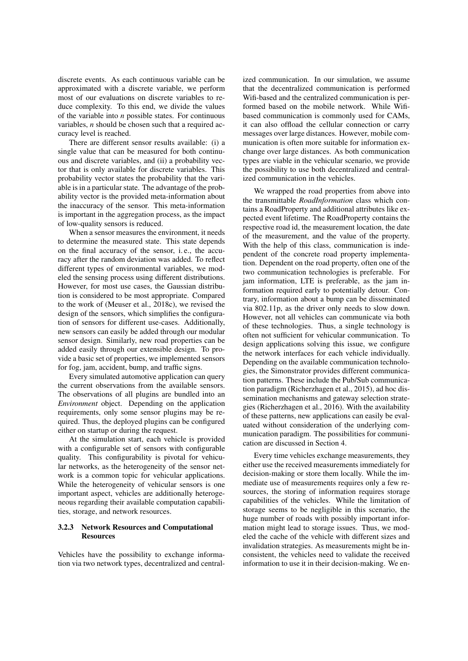discrete events. As each continuous variable can be approximated with a discrete variable, we perform most of our evaluations on discrete variables to reduce complexity. To this end, we divide the values of the variable into *n* possible states. For continuous variables, *n* should be chosen such that a required accuracy level is reached.

There are different sensor results available: (i) a single value that can be measured for both continuous and discrete variables, and (ii) a probability vector that is only available for discrete variables. This probability vector states the probability that the variable is in a particular state. The advantage of the probability vector is the provided meta-information about the inaccuracy of the sensor. This meta-information is important in the aggregation process, as the impact of low-quality sensors is reduced.

When a sensor measures the environment, it needs to determine the measured state. This state depends on the final accuracy of the sensor, i. e., the accuracy after the random deviation was added. To reflect different types of environmental variables, we modeled the sensing process using different distributions. However, for most use cases, the Gaussian distribution is considered to be most appropriate. Compared to the work of (Meuser et al., 2018c), we revised the design of the sensors, which simplifies the configuration of sensors for different use-cases. Additionally, new sensors can easily be added through our modular sensor design. Similarly, new road properties can be added easily through our extensible design. To provide a basic set of properties, we implemented sensors for fog, jam, accident, bump, and traffic signs.

Every simulated automotive application can query the current observations from the available sensors. The observations of all plugins are bundled into an *Environment* object. Depending on the application requirements, only some sensor plugins may be required. Thus, the deployed plugins can be configured either on startup or during the request.

At the simulation start, each vehicle is provided with a configurable set of sensors with configurable quality. This configurability is pivotal for vehicular networks, as the heterogeneity of the sensor network is a common topic for vehicular applications. While the heterogeneity of vehicular sensors is one important aspect, vehicles are additionally heterogeneous regarding their available computation capabilities, storage, and network resources.

### 3.2.3 Network Resources and Computational **Resources**

Vehicles have the possibility to exchange information via two network types, decentralized and central-

ized communication. In our simulation, we assume that the decentralized communication is performed Wifi-based and the centralized communication is performed based on the mobile network. While Wifibased communication is commonly used for CAMs, it can also offload the cellular connection or carry messages over large distances. However, mobile communication is often more suitable for information exchange over large distances. As both communication types are viable in the vehicular scenario, we provide the possibility to use both decentralized and centralized communication in the vehicles.

We wrapped the road properties from above into the transmittable *RoadInformation* class which contains a RoadProperty and additional attributes like expected event lifetime. The RoadProperty contains the respective road id, the measurement location, the date of the measurement, and the value of the property. With the help of this class, communication is independent of the concrete road property implementation. Dependent on the road property, often one of the two communication technologies is preferable. For jam information, LTE is preferable, as the jam information required early to potentially detour. Contrary, information about a bump can be disseminated via 802.11p, as the driver only needs to slow down. However, not all vehicles can communicate via both of these technologies. Thus, a single technology is often not sufficient for vehicular communication. To design applications solving this issue, we configure the network interfaces for each vehicle individually. Depending on the available communication technologies, the Simonstrator provides different communication patterns. These include the Pub/Sub communication paradigm (Richerzhagen et al., 2015), ad hoc dissemination mechanisms and gateway selection strategies (Richerzhagen et al., 2016). With the availability of these patterns, new applications can easily be evaluated without consideration of the underlying communication paradigm. The possibilities for communication are discussed in Section 4.

Every time vehicles exchange measurements, they either use the received measurements immediately for decision-making or store them locally. While the immediate use of measurements requires only a few resources, the storing of information requires storage capabilities of the vehicles. While the limitation of storage seems to be negligible in this scenario, the huge number of roads with possibly important information might lead to storage issues. Thus, we modeled the cache of the vehicle with different sizes and invalidation strategies. As measurements might be inconsistent, the vehicles need to validate the received information to use it in their decision-making. We en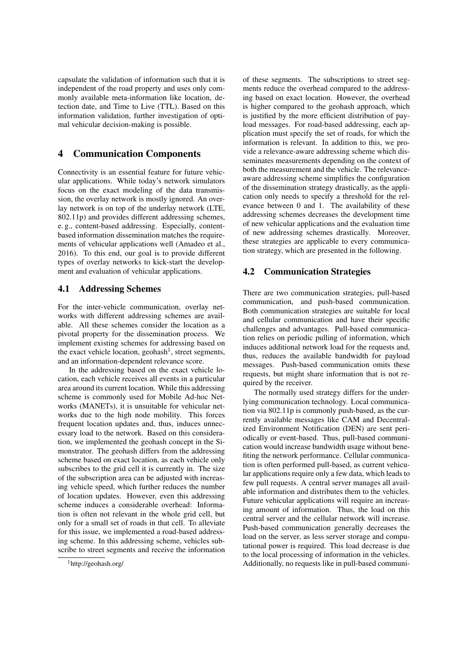capsulate the validation of information such that it is independent of the road property and uses only commonly available meta-information like location, detection date, and Time to Live (TTL). Based on this information validation, further investigation of optimal vehicular decision-making is possible.

## 4 Communication Components

Connectivity is an essential feature for future vehicular applications. While today's network simulators focus on the exact modeling of the data transmission, the overlay network is mostly ignored. An overlay network is on top of the underlay network (LTE, 802.11p) and provides different addressing schemes, e. g., content-based addressing. Especially, contentbased information dissemination matches the requirements of vehicular applications well (Amadeo et al., 2016). To this end, our goal is to provide different types of overlay networks to kick-start the development and evaluation of vehicular applications.

### 4.1 Addressing Schemes

For the inter-vehicle communication, overlay networks with different addressing schemes are available. All these schemes consider the location as a pivotal property for the dissemination process. We implement existing schemes for addressing based on the exact vehicle location, geohash<sup>1</sup>, street segments, and an information-dependent relevance score.

In the addressing based on the exact vehicle location, each vehicle receives all events in a particular area around its current location. While this addressing scheme is commonly used for Mobile Ad-hoc Networks (MANETs), it is unsuitable for vehicular networks due to the high node mobility. This forces frequent location updates and, thus, induces unnecessary load to the network. Based on this consideration, we implemented the geohash concept in the Simonstrator. The geohash differs from the addressing scheme based on exact location, as each vehicle only subscribes to the grid cell it is currently in. The size of the subscription area can be adjusted with increasing vehicle speed, which further reduces the number of location updates. However, even this addressing scheme induces a considerable overhead: Information is often not relevant in the whole grid cell, but only for a small set of roads in that cell. To alleviate for this issue, we implemented a road-based addressing scheme. In this addressing scheme, vehicles subscribe to street segments and receive the information

of these segments. The subscriptions to street segments reduce the overhead compared to the addressing based on exact location. However, the overhead is higher compared to the geohash approach, which is justified by the more efficient distribution of payload messages. For road-based addressing, each application must specify the set of roads, for which the information is relevant. In addition to this, we provide a relevance-aware addressing scheme which disseminates measurements depending on the context of both the measurement and the vehicle. The relevanceaware addressing scheme simplifies the configuration of the dissemination strategy drastically, as the application only needs to specify a threshold for the relevance between 0 and 1. The availability of these addressing schemes decreases the development time of new vehicular applications and the evaluation time of new addressing schemes drastically. Moreover, these strategies are applicable to every communication strategy, which are presented in the following.

### 4.2 Communication Strategies

There are two communication strategies, pull-based communication, and push-based communication. Both communication strategies are suitable for local and cellular communication and have their specific challenges and advantages. Pull-based communication relies on periodic pulling of information, which induces additional network load for the requests and, thus, reduces the available bandwidth for payload messages. Push-based communication omits these requests, but might share information that is not required by the receiver.

The normally used strategy differs for the underlying communication technology. Local communication via 802.11p is commonly push-based, as the currently available messages like CAM and Decentralized Environment Notification (DEN) are sent periodically or event-based. Thus, pull-based communication would increase bandwidth usage without benefiting the network performance. Cellular communication is often performed pull-based, as current vehicular applications require only a few data, which leads to few pull requests. A central server manages all available information and distributes them to the vehicles. Future vehicular applications will require an increasing amount of information. Thus, the load on this central server and the cellular network will increase. Push-based communication generally decreases the load on the server, as less server storage and computational power is required. This load decrease is due to the local processing of information in the vehicles. Additionally, no requests like in pull-based communi-

<sup>1</sup>http://geohash.org/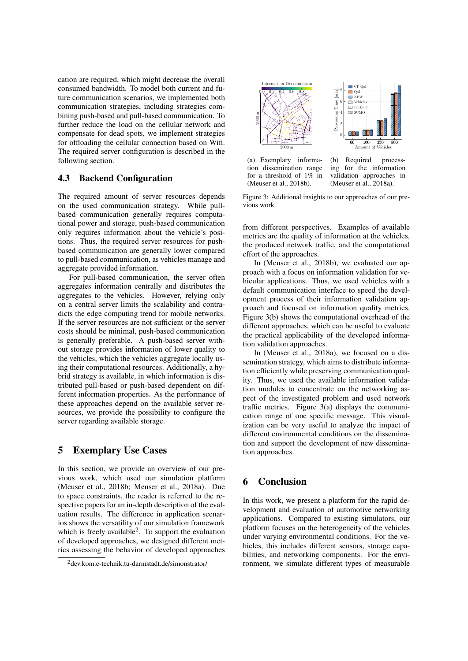cation are required, which might decrease the overall consumed bandwidth. To model both current and future communication scenarios, we implemented both communication strategies, including strategies combining push-based and pull-based communication. To further reduce the load on the cellular network and compensate for dead spots, we implement strategies for offloading the cellular connection based on Wifi. The required server configuration is described in the following section.

### 4.3 Backend Configuration

The required amount of server resources depends on the used communication strategy. While pullbased communication generally requires computational power and storage, push-based communication only requires information about the vehicle's positions. Thus, the required server resources for pushbased communication are generally lower compared to pull-based communication, as vehicles manage and aggregate provided information.

For pull-based communication, the server often aggregates information centrally and distributes the aggregates to the vehicles. However, relying only on a central server limits the scalability and contradicts the edge computing trend for mobile networks. If the server resources are not sufficient or the server costs should be minimal, push-based communication is generally preferable. A push-based server without storage provides information of lower quality to the vehicles, which the vehicles aggregate locally using their computational resources. Additionally, a hybrid strategy is available, in which information is distributed pull-based or push-based dependent on different information properties. As the performance of these approaches depend on the available server resources, we provide the possibility to configure the server regarding available storage.

### 5 Exemplary Use Cases

In this section, we provide an overview of our previous work, which used our simulation platform (Meuser et al., 2018b; Meuser et al., 2018a). Due to space constraints, the reader is referred to the respective papers for an in-depth description of the evaluation results. The difference in application scenarios shows the versatility of our simulation framework which is freely available<sup>2</sup>. To support the evaluation of developed approaches, we designed different metrics assessing the behavior of developed approaches



tion dissemination range for a threshold of 1% in (Meuser et al., 2018b).

ing for the information validation approaches in (Meuser et al., 2018a).

Figure 3: Additional insights to our approaches of our previous work.

from different perspectives. Examples of available metrics are the quality of information at the vehicles, the produced network traffic, and the computational effort of the approaches.

In (Meuser et al., 2018b), we evaluated our approach with a focus on information validation for vehicular applications. Thus, we used vehicles with a default communication interface to speed the development process of their information validation approach and focused on information quality metrics. Figure 3(b) shows the computational overhead of the different approaches, which can be useful to evaluate the practical applicability of the developed information validation approaches.

In (Meuser et al., 2018a), we focused on a dissemination strategy, which aims to distribute information efficiently while preserving communication quality. Thus, we used the available information validation modules to concentrate on the networking aspect of the investigated problem and used network traffic metrics. Figure 3(a) displays the communication range of one specific message. This visualization can be very useful to analyze the impact of different environmental conditions on the dissemination and support the development of new dissemination approaches.

# 6 Conclusion

In this work, we present a platform for the rapid development and evaluation of automotive networking applications. Compared to existing simulators, our platform focuses on the heterogeneity of the vehicles under varying environmental conditions. For the vehicles, this includes different sensors, storage capabilities, and networking components. For the environment, we simulate different types of measurable

<sup>2</sup>dev.kom.e-technik.tu-darmstadt.de/simonstrator/